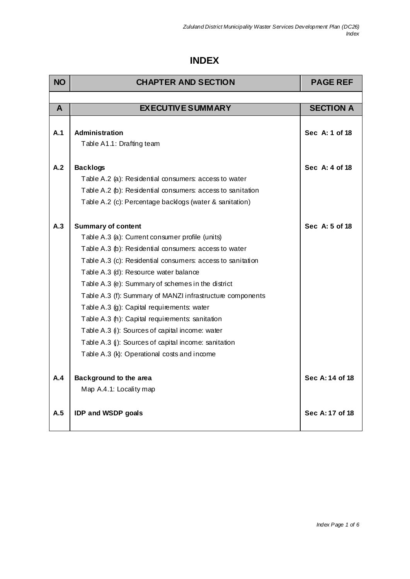## **INDEX**

| <b>NO</b>    | <b>CHAPTER AND SECTION</b>                                                   | <b>PAGE REF</b>  |
|--------------|------------------------------------------------------------------------------|------------------|
|              |                                                                              |                  |
| $\mathsf{A}$ | <b>EXECUTIVE SUMMARY</b>                                                     | <b>SECTION A</b> |
|              |                                                                              |                  |
| A.1          | <b>Administration</b>                                                        | Sec A: 1 of 18   |
|              | Table A1.1: Drafting team                                                    |                  |
|              |                                                                              |                  |
| A.2          | <b>Backlogs</b>                                                              | Sec A: 4 of 18   |
|              | Table A.2 (a): Residential consumers: access to water                        |                  |
|              | Table A.2 (b): Residential consumers: access to sanitation                   |                  |
|              | Table A.2 (c): Percentage backlogs (water & sanitation)                      |                  |
| A.3          |                                                                              | Sec A: 5 of 18   |
|              | <b>Summary of content</b><br>Table A.3 (a): Current consumer profile (units) |                  |
|              | Table A.3 (b): Residential consumers: access to water                        |                  |
|              |                                                                              |                  |
|              | Table A.3 (c): Residential consumers: access to sanitation                   |                  |
|              | Table A.3 (d): Resource water balance                                        |                  |
|              | Table A.3 (e): Summary of schemes in the district                            |                  |
|              | Table A.3 (f): Summary of MANZI infrastructure components                    |                  |
|              | Table A.3 (g): Capital requirements: water                                   |                  |
|              | Table A.3 (h): Capital requirements: sanitation                              |                  |
|              | Table A.3 (i): Sources of capital income: water                              |                  |
|              | Table A.3 (j): Sources of capital income: sanitation                         |                  |
|              | Table A.3 (k): Operational costs and income                                  |                  |
| A.4          | Background to the area                                                       | Sec A: 14 of 18  |
|              | Map A.4.1: Locality map                                                      |                  |
|              |                                                                              |                  |
| A.5          | <b>IDP and WSDP goals</b>                                                    | Sec A: 17 of 18  |
|              |                                                                              |                  |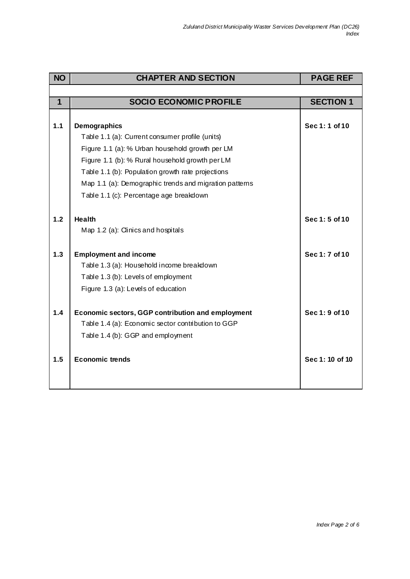| <b>NO</b>    | <b>CHAPTER AND SECTION</b>                               | <b>PAGE REF</b>  |
|--------------|----------------------------------------------------------|------------------|
|              |                                                          |                  |
| $\mathbf{1}$ | <b>SOCIO ECONOMIC PROFILE</b>                            | <b>SECTION 1</b> |
|              |                                                          |                  |
| 1.1          | <b>Demographics</b>                                      | Sec 1:1 of 10    |
|              | Table 1.1 (a): Current consumer profile (units)          |                  |
|              | Figure 1.1 (a): % Urban household growth per LM          |                  |
|              | Figure 1.1 (b): % Rural household growth per LM          |                  |
|              | Table 1.1 (b): Population growth rate projections        |                  |
|              | Map 1.1 (a): Demographic trends and migration patterns   |                  |
|              | Table 1.1 (c): Percentage age breakdown                  |                  |
|              |                                                          |                  |
| 1.2          | <b>Health</b>                                            | Sec 1:5 of 10    |
|              | Map 1.2 (a): Clinics and hospitals                       |                  |
|              |                                                          |                  |
| 1.3          | <b>Employment and income</b>                             | Sec 1: 7 of 10   |
|              | Table 1.3 (a): Household income breakdown                |                  |
|              | Table 1.3 (b): Levels of employment                      |                  |
|              | Figure 1.3 (a): Levels of education                      |                  |
|              |                                                          |                  |
| 1.4          | <b>Economic sectors, GGP contribution and employment</b> | Sec 1: 9 of 10   |
|              | Table 1.4 (a): Economic sector contribution to GGP       |                  |
|              | Table 1.4 (b): GGP and employment                        |                  |
|              |                                                          |                  |
| 1.5          | <b>Economic trends</b>                                   | Sec 1: 10 of 10  |
|              |                                                          |                  |
|              |                                                          |                  |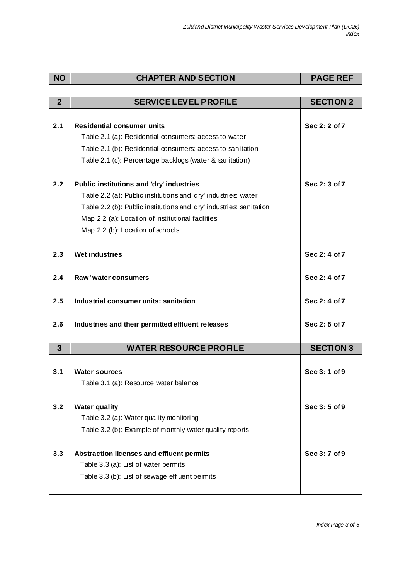| <b>NO</b>      | <b>CHAPTER AND SECTION</b>                                          | <b>PAGE REF</b>  |
|----------------|---------------------------------------------------------------------|------------------|
|                |                                                                     |                  |
| $\overline{2}$ | <b>SERVICE LEVEL PROFILE</b>                                        | <b>SECTION 2</b> |
|                |                                                                     |                  |
| 2.1            | <b>Residential consumer units</b>                                   | Sec 2: 2 of 7    |
|                | Table 2.1 (a): Residential consumers: access to water               |                  |
|                | Table 2.1 (b): Residential consumers: access to sanitation          |                  |
|                | Table 2.1 (c): Percentage backlogs (water & sanitation)             |                  |
| 2.2            | Public institutions and 'dry' industries                            | Sec 2: 3 of 7    |
|                | Table 2.2 (a): Public institutions and 'dry' industries: water      |                  |
|                | Table 2.2 (b): Public institutions and 'dry' industries: sanitation |                  |
|                | Map 2.2 (a): Location of institutional facilities                   |                  |
|                | Map 2.2 (b): Location of schools                                    |                  |
| 2.3            | <b>Wet industries</b>                                               | Sec 2: 4 of 7    |
|                |                                                                     |                  |
| 2.4            | Raw' water consumers                                                | Sec 2: 4 of 7    |
| 2.5            | Industrial consumer units: sanitation                               | Sec 2: 4 of 7    |
| 2.6            | Industries and their permitted effluent releases                    | Sec 2:5 of 7     |
| $\overline{3}$ | <b>WATER RESOURCE PROFILE</b>                                       | <b>SECTION 3</b> |
|                |                                                                     |                  |
| 3.1            | <b>Water sources</b>                                                | Sec 3:1 of 9     |
|                | Table 3.1 (a): Resource water balance                               |                  |
| 3.2            | <b>Water quality</b>                                                | Sec 3:5 of 9     |
|                | Table 3.2 (a): Water quality monitoring                             |                  |
|                | Table 3.2 (b): Example of monthly water quality reports             |                  |
|                |                                                                     |                  |
| 3.3            | Abstraction licenses and effluent permits                           | Sec 3:7 of 9     |
|                | Table 3.3 (a): List of water permits                                |                  |
|                | Table 3.3 (b): List of sewage effluent permits                      |                  |
|                |                                                                     |                  |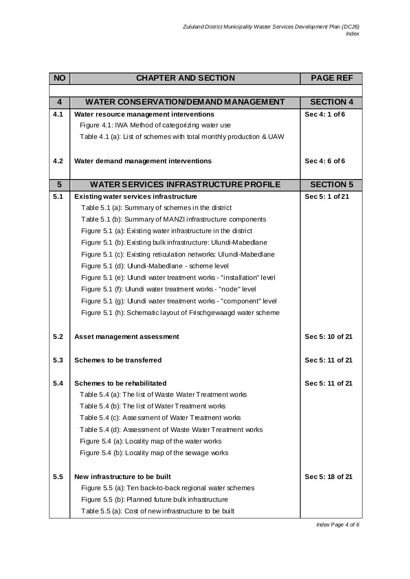| <b>NO</b>               | <b>CHAPTER AND SECTION</b>                                          | <b>PAGE REF</b>  |
|-------------------------|---------------------------------------------------------------------|------------------|
|                         |                                                                     |                  |
| $\overline{\mathbf{4}}$ | <b>WATER CONSERVATION/DEMAND MANAGEMENT</b>                         | <b>SECTION 4</b> |
| 4.1                     | Water resource management interventions                             | Sec 4:1 of 6     |
|                         | Figure 4.1: IWA Method of categorizing water use                    |                  |
|                         | Table 4.1 (a): List of schemes with total monthly production & UAW  |                  |
|                         |                                                                     |                  |
| 4.2                     | Water demand management interventions                               | Sec 4:6 of 6     |
|                         |                                                                     |                  |
| $5\phantom{1}$          | <b>WATER SERVICES INFRASTRUCTURE PROFILE</b>                        | <b>SECTION 5</b> |
| 5.1                     | <b>Existing water services infrastructure</b>                       | Sec 5:1 of 21    |
|                         | Table 5.1 (a): Summary of schemes in the district                   |                  |
|                         | Table 5.1 (b): Summary of MANZI infrastructure components           |                  |
|                         | Figure 5.1 (a): Existing water infrastructure in the district       |                  |
|                         | Figure 5.1 (b): Existing bulk infrastructure: Ulundi-Mabedlane      |                  |
|                         | Figure 5.1 (c): Existing reticulation networks: Ulundi-Mabedlane    |                  |
|                         | Figure 5.1 (d): Ulundi-Mabedlane - scheme level                     |                  |
|                         | Figure 5.1 (e): Ulundi water treatment works - "installation" level |                  |
|                         | Figure 5.1 (f): Ulundi water treatment works - "node" level         |                  |
|                         | Figure 5.1 (g): Ulundi water treatment works - "component" level    |                  |
|                         | Figure 5.1 (h): Schematic layout of Frischgewaagd water scheme      |                  |
| 5.2                     | Asset management assessment                                         | Sec 5:10 of 21   |
| 5.3                     | <b>Schemes to be transferred</b>                                    | Sec 5:11 of 21   |
| 5.4                     | Schemes to be rehabilitated                                         | Sec 5:11 of 21   |
|                         | Table 5.4 (a): The list of Waste Water Treatment works              |                  |
|                         | Table 5.4 (b): The list of Water Treatment works                    |                  |
|                         | Table 5.4 (c): Asse ssment of Water Treatment works                 |                  |
|                         | Table 5.4 (d): Assessment of Waste Water Treatment works            |                  |
|                         | Figure 5.4 (a): Locality map of the water works                     |                  |
|                         | Figure 5.4 (b): Locality map of the sewage works                    |                  |
|                         |                                                                     |                  |
| 5.5                     | New infrastructure to be built                                      | Sec 5:18 of 21   |
|                         | Figure 5.5 (a): Ten back-to-back regional water schemes             |                  |
|                         | Figure 5.5 (b): Planned future bulk infrastructure                  |                  |
|                         | Table 5.5 (a): Cost of new infrastructure to be built               |                  |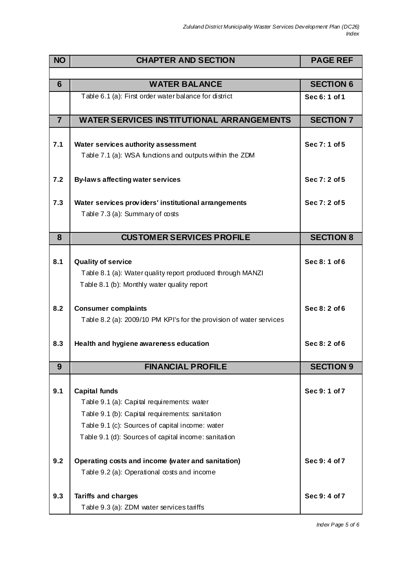| <b>NO</b>      | <b>CHAPTER AND SECTION</b>                                                                                                                                                                                                       | <b>PAGE REF</b>  |
|----------------|----------------------------------------------------------------------------------------------------------------------------------------------------------------------------------------------------------------------------------|------------------|
|                |                                                                                                                                                                                                                                  |                  |
| $6\phantom{1}$ | <b>WATER BALANCE</b>                                                                                                                                                                                                             | <b>SECTION 6</b> |
|                | Table 6.1 (a): First order water balance for district                                                                                                                                                                            | Sec 6: 1 of 1    |
| $\overline{7}$ | <b>WATER SERVICES INSTITUTIONAL ARRANGEMENTS</b>                                                                                                                                                                                 | <b>SECTION 7</b> |
| 7.1            | Water services authority assessment<br>Table 7.1 (a): WSA functions and outputs within the ZDM                                                                                                                                   | Sec 7:1 of 5     |
| 7.2            | By-laws affecting water services                                                                                                                                                                                                 | Sec 7: 2 of 5    |
| 7.3            | Water services providers' institutional arrangements<br>Table 7.3 (a): Summary of $\cos$                                                                                                                                         | Sec 7: 2 of 5    |
| 8              | <b>CUSTOMER SERVICES PROFILE</b>                                                                                                                                                                                                 | <b>SECTION 8</b> |
| 8.1            | <b>Quality of service</b><br>Table 8.1 (a): Water quality report produced through MANZI<br>Table 8.1 (b): Monthly water quality report                                                                                           | Sec 8:1 of 6     |
| 8.2            | <b>Consumer complaints</b><br>Table 8.2 (a): 2009/10 PM KPI's for the provision of water services                                                                                                                                | Sec 8: 2 of 6    |
| 8.3            | Health and hygiene awareness education                                                                                                                                                                                           | Sec 8: 2 of 6    |
| 9              | <b>FINANCIAL PROFILE</b>                                                                                                                                                                                                         | <b>SECTION 9</b> |
| 9.1            | <b>Capital funds</b><br>Table 9.1 (a): Capital requirements: water<br>Table 9.1 (b): Capital requirements: sanitation<br>Table 9.1 (c): Sources of capital income: water<br>Table 9.1 (d): Sources of capital income: sanitation | Sec 9:1 of 7     |
| 9.2            | Operating costs and income (water and sanitation)<br>Table 9.2 (a): Operational costs and income                                                                                                                                 | Sec 9: 4 of 7    |
| 9.3            | <b>Tariffs and charges</b><br>Table 9.3 (a): ZDM water services tariffs                                                                                                                                                          | Sec 9:4 of 7     |